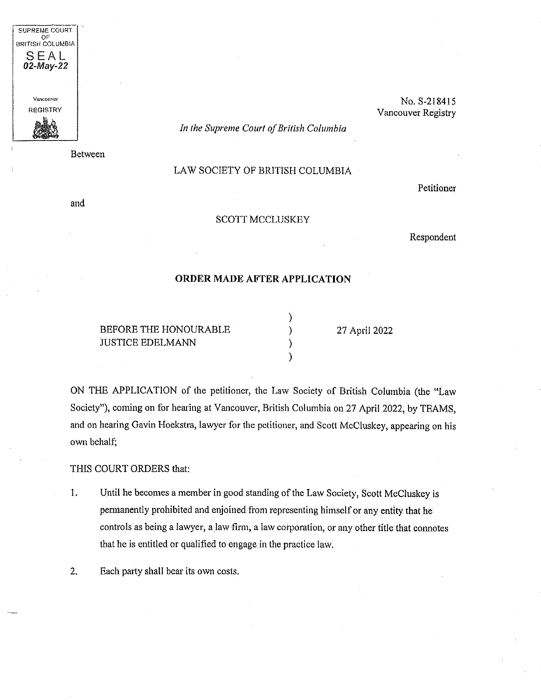

Between

No. S-218415 Vancouver Registry

*In (he Supreme Court ofBritish Columbia*

## LAW SOCIETY OF BRITISH COLUMBIA

and

## SCOTT MCCLUSKEY

Respondent

Petitioner

## **ORDER MADE AFTER APPLICATION**

**)**

**) )**

BEFORE THE HONOURABLE JUSTICE EDELMANN

**)** 27 April 2022

ON THE APPLICATION of the petitioner, the Law Society of British Columbia (the "Law Society"), coming on for hearing at Vancouver, British Columbia on 27 April 2022, by TEAMS, and on hearing Gavin Hoekstra, lawyer for the petitioner, and Scott McCluskey, appearing on his own behalf;

THIS COURT ORDERS that:

- Until he becomes a member in good standing of the Law Society, Scott McCluskey is permanently prohibited and enjoined from representing himselfor any entity that he controls as being <sup>a</sup> lawyer, <sup>a</sup> law firm, <sup>a</sup> law corporation, or any other title that connotes that he is entitled or qualified to engage in the practice law. L
- 2. Each party shall bear its own costs.